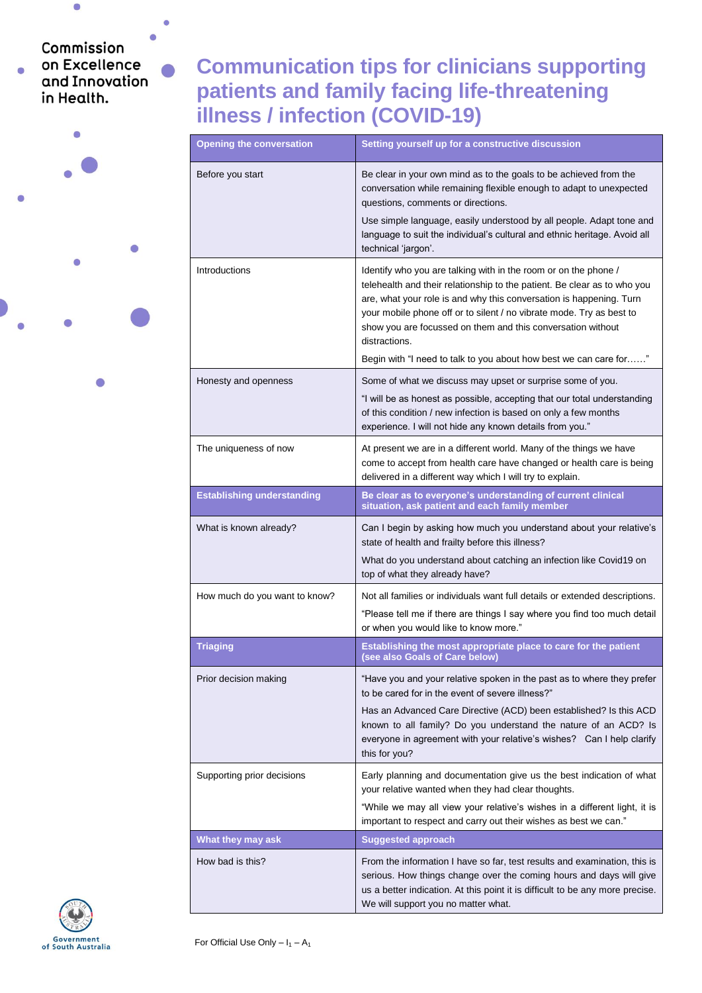## Commission on Excellence and Innovation in Health.

 $\overline{\mathcal{C}}$ 

 $\bullet$ 

ö

## **Communication tips for clinicians supporting patients and family facing life-threatening illness / infection (COVID-19)**

| <b>Opening the conversation</b>   | Setting yourself up for a constructive discussion                                                                                                                                                                                                                                                                                                                          |
|-----------------------------------|----------------------------------------------------------------------------------------------------------------------------------------------------------------------------------------------------------------------------------------------------------------------------------------------------------------------------------------------------------------------------|
| Before you start                  | Be clear in your own mind as to the goals to be achieved from the<br>conversation while remaining flexible enough to adapt to unexpected<br>questions, comments or directions.                                                                                                                                                                                             |
|                                   | Use simple language, easily understood by all people. Adapt tone and<br>language to suit the individual's cultural and ethnic heritage. Avoid all<br>technical 'jargon'.                                                                                                                                                                                                   |
| Introductions                     | Identify who you are talking with in the room or on the phone /<br>telehealth and their relationship to the patient. Be clear as to who you<br>are, what your role is and why this conversation is happening. Turn<br>your mobile phone off or to silent / no vibrate mode. Try as best to<br>show you are focussed on them and this conversation without<br>distractions. |
|                                   | Begin with "I need to talk to you about how best we can care for"                                                                                                                                                                                                                                                                                                          |
| Honesty and openness              | Some of what we discuss may upset or surprise some of you.                                                                                                                                                                                                                                                                                                                 |
|                                   | "I will be as honest as possible, accepting that our total understanding<br>of this condition / new infection is based on only a few months<br>experience. I will not hide any known details from you."                                                                                                                                                                    |
| The uniqueness of now             | At present we are in a different world. Many of the things we have<br>come to accept from health care have changed or health care is being<br>delivered in a different way which I will try to explain.                                                                                                                                                                    |
| <b>Establishing understanding</b> | Be clear as to everyone's understanding of current clinical<br>situation, ask patient and each family member                                                                                                                                                                                                                                                               |
| What is known already?            | Can I begin by asking how much you understand about your relative's<br>state of health and frailty before this illness?                                                                                                                                                                                                                                                    |
|                                   | What do you understand about catching an infection like Covid19 on<br>top of what they already have?                                                                                                                                                                                                                                                                       |
| How much do you want to know?     | Not all families or individuals want full details or extended descriptions.                                                                                                                                                                                                                                                                                                |
|                                   | "Please tell me if there are things I say where you find too much detail<br>or when you would like to know more."                                                                                                                                                                                                                                                          |
| <b>Triaging</b>                   | Establishing the most appropriate place to care for the patient<br>(see also Goals of Care below)                                                                                                                                                                                                                                                                          |
| Prior decision making             | "Have you and your relative spoken in the past as to where they prefer<br>to be cared for in the event of severe illness?"                                                                                                                                                                                                                                                 |
|                                   | Has an Advanced Care Directive (ACD) been established? Is this ACD<br>known to all family? Do you understand the nature of an ACD? Is<br>everyone in agreement with your relative's wishes? Can I help clarify<br>this for you?                                                                                                                                            |
| Supporting prior decisions        | Early planning and documentation give us the best indication of what<br>your relative wanted when they had clear thoughts.                                                                                                                                                                                                                                                 |
|                                   | "While we may all view your relative's wishes in a different light, it is<br>important to respect and carry out their wishes as best we can."                                                                                                                                                                                                                              |
| What they may ask                 | <b>Suggested approach</b>                                                                                                                                                                                                                                                                                                                                                  |
| How bad is this?                  | From the information I have so far, test results and examination, this is<br>serious. How things change over the coming hours and days will give<br>us a better indication. At this point it is difficult to be any more precise.<br>We will support you no matter what.                                                                                                   |